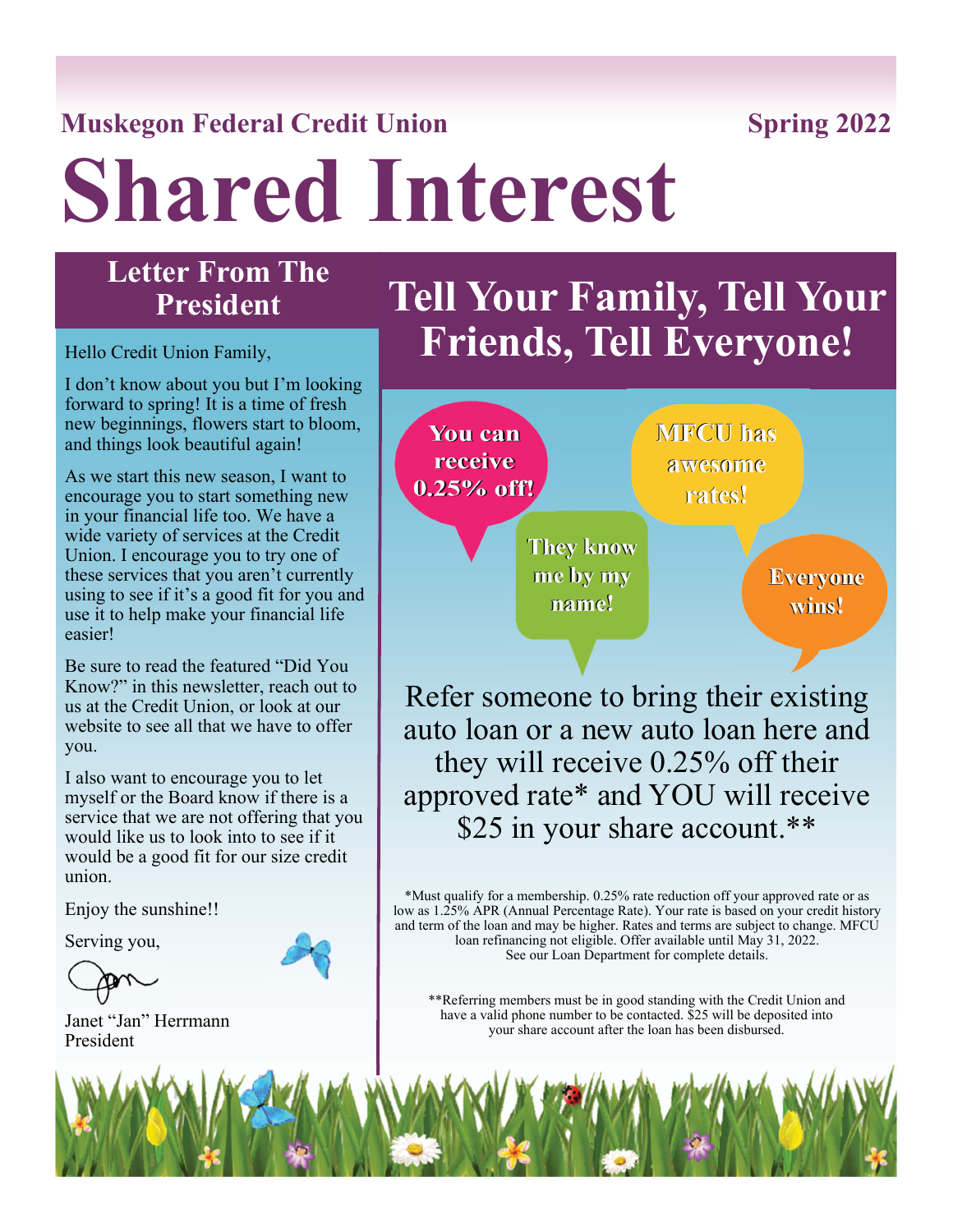# **Muskegon Federal Credit Union Spring 2022**

**Shared Interest** 

# **Letter From The President**

I don't know about you but I'm looking forward to spring! It is a time of fresh new beginnings, flowers start to bloom, and things look beautiful again!

As we start this new season, I want to encourage you to start something new in your financial life too. We have a wide variety of services at the Credit Union. I encourage you to try one of these services that you aren't currently using to see if it's a good fit for you and use it to help make your financial life easier!

Be sure to read the featured "Did You [Know?" in this newsletter, reach out to](https://www.muskfedcu.com/payroll-distribution/)  us at the Credit Union, or look at our website to see all that we have to offer you.

I also want to encourage you to let myself or the Board know if there is a service that we are not offering that you would like us to look into to see if it would be a good fit for our size credit union.

Enjoy the sunshine!!

Serving you,

Janet "Jan" Herrmann President

# **[Tell Your Family, Tell Your](https://www.muskfedcu.com/whats-new/)**  Hello Credit Union Family, **Friends, Tell Everyone!**



Refer someone to bring their existing auto loan or a new auto loan here and they will receive 0.25% off their approved rate\* and YOU will receive \$25 in your share account.\*\*

\*Must qualify for a membership. 0.25% rate reduction off your approved rate or as low as 1.25% APR (Annual Percentage Rate). Your rate is based on your credit history and term of the loan and may be higher. Rates and terms are subject to change. MFCU loan refinancing not eligible. Offer available until May 31, 2022. See our Loan Department for complete details.

\*\*Referring members must be in good standing with the Credit Union and have a valid phone number to be contacted. \$25 will be deposited into your share account after the loan has been disbursed.